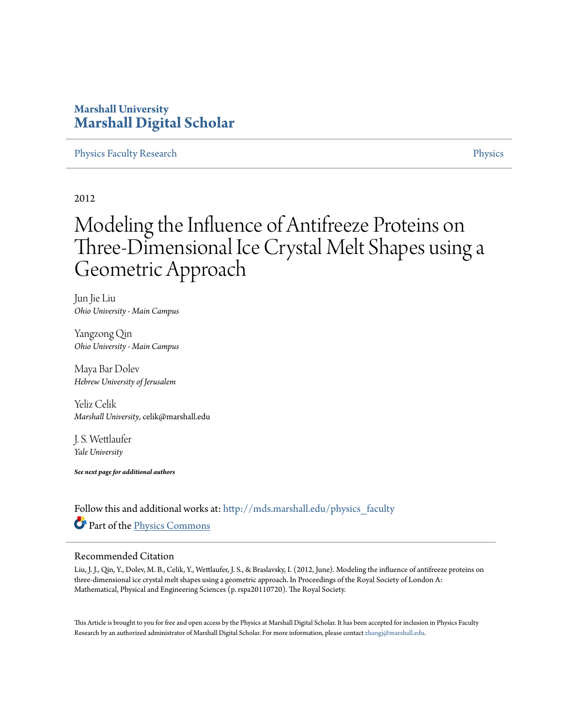# **Marshall University [Marshall Digital Scholar](http://mds.marshall.edu?utm_source=mds.marshall.edu%2Fphysics_faculty%2F46&utm_medium=PDF&utm_campaign=PDFCoverPages)**

#### [Physics Faculty Research](http://mds.marshall.edu/physics_faculty?utm_source=mds.marshall.edu%2Fphysics_faculty%2F46&utm_medium=PDF&utm_campaign=PDFCoverPages) **[Physics](http://mds.marshall.edu/physics?utm_source=mds.marshall.edu%2Fphysics_faculty%2F46&utm_medium=PDF&utm_campaign=PDFCoverPages)** Physics **Physics**

#### 2012

# Modeling the Influence of Antifreeze Proteins on Three-Dimensional Ice Crystal Melt Shapes using a Geometric Approach

Jun Jie Liu *Ohio University - Main Campus*

Yangzong Qin *Ohio University - Main Campus*

Maya Bar Dolev *Hebrew University of Jerusalem*

Yeliz Celik *Marshall University*, celik@marshall.edu

J. S. Wettlaufer *Yale University*

*See next page for additional authors*

Follow this and additional works at: [http://mds.marshall.edu/physics\\_faculty](http://mds.marshall.edu/physics_faculty?utm_source=mds.marshall.edu%2Fphysics_faculty%2F46&utm_medium=PDF&utm_campaign=PDFCoverPages) Part of the [Physics Commons](http://network.bepress.com/hgg/discipline/193?utm_source=mds.marshall.edu%2Fphysics_faculty%2F46&utm_medium=PDF&utm_campaign=PDFCoverPages)

#### Recommended Citation

Liu, J. J., Qin, Y., Dolev, M. B., Celik, Y., Wettlaufer, J. S., & Braslavsky, I. (2012, June). Modeling the influence of antifreeze proteins on three-dimensional ice crystal melt shapes using a geometric approach. In Proceedings of the Royal Society of London A: Mathematical, Physical and Engineering Sciences (p. rspa20110720). The Royal Society.

This Article is brought to you for free and open access by the Physics at Marshall Digital Scholar. It has been accepted for inclusion in Physics Faculty Research by an authorized administrator of Marshall Digital Scholar. For more information, please contact [zhangj@marshall.edu.](mailto:zhangj@marshall.edu)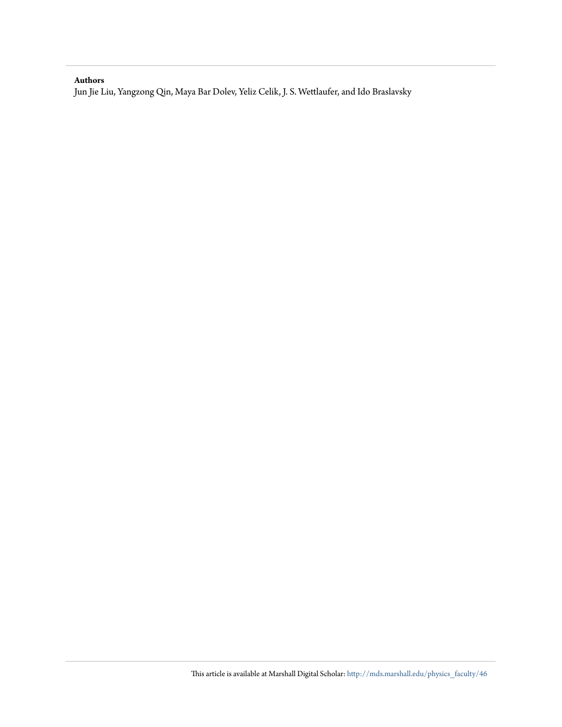#### **Authors**

Jun Jie Liu, Yangzong Qin, Maya Bar Dolev, Yeliz Celik, J. S. Wettlaufer, and Ido Braslavsky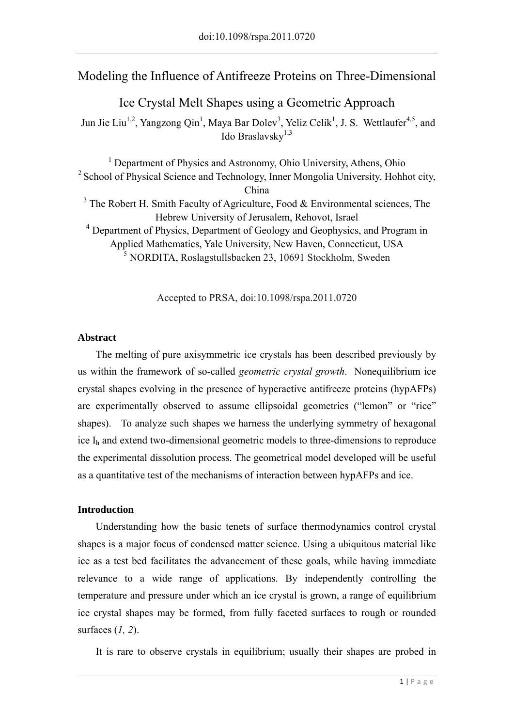# Modeling the Influence of Antifreeze Proteins on Three-Dimensional

Ice Crystal Melt Shapes using a Geometric Approach Jun Jie Liu<sup>1,2</sup>, Yangzong Qin<sup>1</sup>, Maya Bar Dolev<sup>3</sup>, Yeliz Celik<sup>1</sup>, J. S. Wettlaufer<sup>4,5</sup>, and Ido Braslavsky $^{1,3}$ 

<sup>1</sup> Department of Physics and Astronomy, Ohio University, Athens, Ohio 2 School of Physical Science and Technology, Inner Mongolia University, Hohhot city, China <sup>3</sup> The Robert H. Smith Faculty of Agriculture, Food  $\&$  Environmental sciences, The Hebrew University of Jerusalem, Rehovot, Israel <sup>4</sup> Department of Physics, Department of Geology and Geophysics, and Program in Applied Mathematics, Yale University, New Haven, Connecticut, USA 5 NORDITA, Roslagstullsbacken 23, 10691 Stockholm, Sweden

Accepted to PRSA, doi:10.1098/rspa.2011.0720

# **Abstract**

The melting of pure axisymmetric ice crystals has been described previously by us within the framework of so-called *geometric crystal growth*. Nonequilibrium ice crystal shapes evolving in the presence of hyperactive antifreeze proteins (hypAFPs) are experimentally observed to assume ellipsoidal geometries ("lemon" or "rice" shapes). To analyze such shapes we harness the underlying symmetry of hexagonal ice Ih and extend two-dimensional geometric models to three-dimensions to reproduce the experimental dissolution process. The geometrical model developed will be useful as a quantitative test of the mechanisms of interaction between hypAFPs and ice.

# **Introduction**

Understanding how the basic tenets of surface thermodynamics control crystal shapes is a major focus of condensed matter science. Using a ubiquitous material like ice as a test bed facilitates the advancement of these goals, while having immediate relevance to a wide range of applications. By independently controlling the temperature and pressure under which an ice crystal is grown, a range of equilibrium ice crystal shapes may be formed, from fully faceted surfaces to rough or rounded surfaces (*1, 2*).

It is rare to observe crystals in equilibrium; usually their shapes are probed in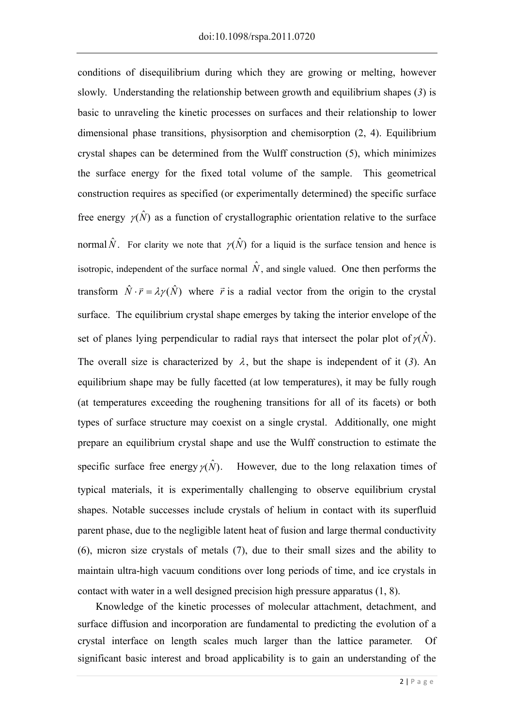conditions of disequilibrium during which they are growing or melting, however slowly. Understanding the relationship between growth and equilibrium shapes (*3*) is basic to unraveling the kinetic processes on surfaces and their relationship to lower dimensional phase transitions, physisorption and chemisorption (2, 4). Equilibrium crystal shapes can be determined from the Wulff construction (5), which minimizes the surface energy for the fixed total volume of the sample. This geometrical construction requires as specified (or experimentally determined) the specific surface free energy  $\gamma(\hat{N})$  as a function of crystallographic orientation relative to the surface normal  $\hat{N}$ . For clarity we note that  $\gamma(\hat{N})$  for a liquid is the surface tension and hence is isotropic, independent of the surface normal  $\hat{N}$ , and single valued. One then performs the transform  $\hat{N} \cdot \vec{r} = \lambda \gamma(\hat{N})$  where  $\vec{r}$  is a radial vector from the origin to the crystal surface. The equilibrium crystal shape emerges by taking the interior envelope of the set of planes lying perpendicular to radial rays that intersect the polar plot of  $\gamma(\hat{N})$ . The overall size is characterized by  $\lambda$ , but the shape is independent of it (3). An equilibrium shape may be fully facetted (at low temperatures), it may be fully rough (at temperatures exceeding the roughening transitions for all of its facets) or both types of surface structure may coexist on a single crystal. Additionally, one might prepare an equilibrium crystal shape and use the Wulff construction to estimate the specific surface free energy  $\gamma(\hat{N})$ . However, due to the long relaxation times of typical materials, it is experimentally challenging to observe equilibrium crystal shapes. Notable successes include crystals of helium in contact with its superfluid parent phase, due to the negligible latent heat of fusion and large thermal conductivity (6), micron size crystals of metals (7), due to their small sizes and the ability to maintain ultra-high vacuum conditions over long periods of time, and ice crystals in contact with water in a well designed precision high pressure apparatus (1, 8).

Knowledge of the kinetic processes of molecular attachment, detachment, and surface diffusion and incorporation are fundamental to predicting the evolution of a crystal interface on length scales much larger than the lattice parameter. Of significant basic interest and broad applicability is to gain an understanding of the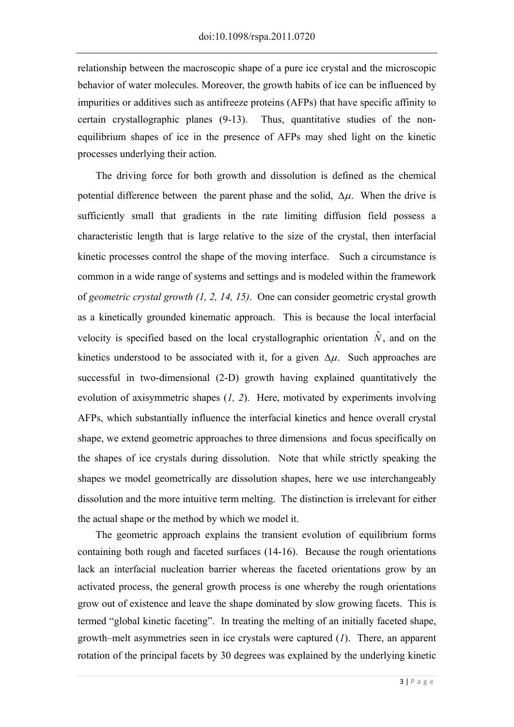relationship between the macroscopic shape of a pure ice crystal and the microscopic behavior of water molecules. Moreover, the growth habits of ice can be influenced by impurities or additives such as antifreeze proteins (AFPs) that have specific affinity to certain crystallographic planes (9-13). Thus, quantitative studies of the nonequilibrium shapes of ice in the presence of AFPs may shed light on the kinetic processes underlying their action.

The driving force for both growth and dissolution is defined as the chemical potential difference between the parent phase and the solid,  $\Delta \mu$ . When the drive is sufficiently small that gradients in the rate limiting diffusion field possess a characteristic length that is large relative to the size of the crystal, then interfacial kinetic processes control the shape of the moving interface. Such a circumstance is common in a wide range of systems and settings and is modeled within the framework of *geometric crystal growth (1, 2, 14, 15)*. One can consider geometric crystal growth as a kinetically grounded kinematic approach. This is because the local interfacial velocity is specified based on the local crystallographic orientation  $\hat{N}$ , and on the kinetics understood to be associated with it, for a given  $\Delta \mu$ . Such approaches are successful in two-dimensional (2-D) growth having explained quantitatively the evolution of axisymmetric shapes (*1, 2*). Here, motivated by experiments involving AFPs, which substantially influence the interfacial kinetics and hence overall crystal shape, we extend geometric approaches to three dimensions and focus specifically on the shapes of ice crystals during dissolution. Note that while strictly speaking the shapes we model geometrically are dissolution shapes, here we use interchangeably dissolution and the more intuitive term melting. The distinction is irrelevant for either the actual shape or the method by which we model it.

The geometric approach explains the transient evolution of equilibrium forms containing both rough and faceted surfaces (14-16). Because the rough orientations lack an interfacial nucleation barrier whereas the faceted orientations grow by an activated process, the general growth process is one whereby the rough orientations grow out of existence and leave the shape dominated by slow growing facets. This is termed "global kinetic faceting". In treating the melting of an initially faceted shape, growth–melt asymmetries seen in ice crystals were captured (*1*). There, an apparent rotation of the principal facets by 30 degrees was explained by the underlying kinetic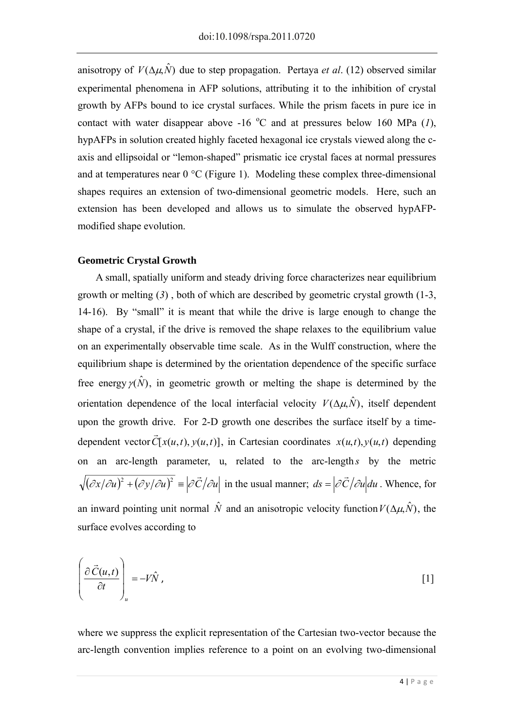anisotropy of  $V(\Delta \mu, \hat{N})$  due to step propagation. Pertaya *et al.* (12) observed similar experimental phenomena in AFP solutions, attributing it to the inhibition of crystal growth by AFPs bound to ice crystal surfaces. While the prism facets in pure ice in contact with water disappear above  $-16$  °C and at pressures below 160 MPa (*1*), hypAFPs in solution created highly faceted hexagonal ice crystals viewed along the caxis and ellipsoidal or "lemon-shaped" prismatic ice crystal faces at normal pressures and at temperatures near 0 °C (Figure 1). Modeling these complex three-dimensional shapes requires an extension of two-dimensional geometric models. Here, such an extension has been developed and allows us to simulate the observed hypAFPmodified shape evolution.

# **Geometric Crystal Growth**

A small, spatially uniform and steady driving force characterizes near equilibrium growth or melting (*3*) , both of which are described by geometric crystal growth (1-3, 14-16). By "small" it is meant that while the drive is large enough to change the shape of a crystal, if the drive is removed the shape relaxes to the equilibrium value on an experimentally observable time scale. As in the Wulff construction, where the equilibrium shape is determined by the orientation dependence of the specific surface free energy  $\gamma(\hat{N})$ , in geometric growth or melting the shape is determined by the orientation dependence of the local interfacial velocity  $V(\Delta \mu \hat{N})$ , itself dependent upon the growth drive. For 2-D growth one describes the surface itself by a timedependent vector  $\overline{C}[x(u,t), y(u,t)]$ , in Cartesian coordinates  $x(u,t), y(u,t)$  depending on an arc-length parameter, u, related to the arc-length *s* by the metric  $\sqrt{(\partial x/\partial u)^2 + (\partial y/\partial u)^2} \equiv |\partial \vec{C}/\partial u|$  in the usual manner;  $ds = |\partial \vec{C}/\partial u| du$ . Whence, for an inward pointing unit normal  $\hat{N}$  and an anisotropic velocity function  $V(\Delta \mu, \hat{N})$ , the surface evolves according to

$$
\left(\frac{\partial \vec{C}(u,t)}{\partial t}\right)_u = -V\hat{N},\qquad [1]
$$

where we suppress the explicit representation of the Cartesian two-vector because the arc-length convention implies reference to a point on an evolving two-dimensional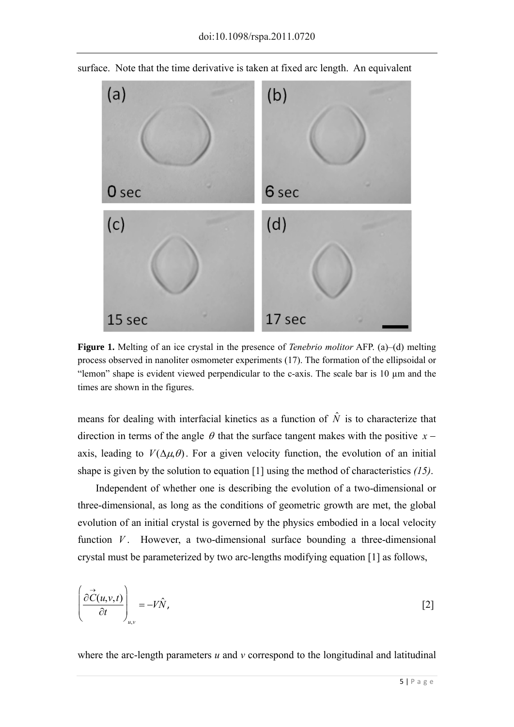

surface. Note that the time derivative is taken at fixed arc length. An equivalent

**Figure 1.** Melting of an ice crystal in the presence of *Tenebrio molitor* AFP. (a)–(d) melting process observed in nanoliter osmometer experiments (17). The formation of the ellipsoidal or "lemon" shape is evident viewed perpendicular to the c-axis. The scale bar is 10 µm and the times are shown in the figures.

means for dealing with interfacial kinetics as a function of  $\hat{N}$  is to characterize that direction in terms of the angle  $\theta$  that the surface tangent makes with the positive  $x$ axis, leading to  $V(\Delta \mu, \theta)$ . For a given velocity function, the evolution of an initial shape is given by the solution to equation [1] using the method of characteristics *(15)*.

Independent of whether one is describing the evolution of a two-dimensional or three-dimensional, as long as the conditions of geometric growth are met, the global evolution of an initial crystal is governed by the physics embodied in a local velocity function  $V$ . However, a two-dimensional surface bounding a three-dimensional crystal must be parameterized by two arc-lengths modifying equation [1] as follows,

$$
\left(\frac{\partial \vec{C}(u, v, t)}{\partial t}\right)_{u, v} = -V\hat{N},\tag{2}
$$

where the arc-length parameters *u* and *v* correspond to the longitudinal and latitudinal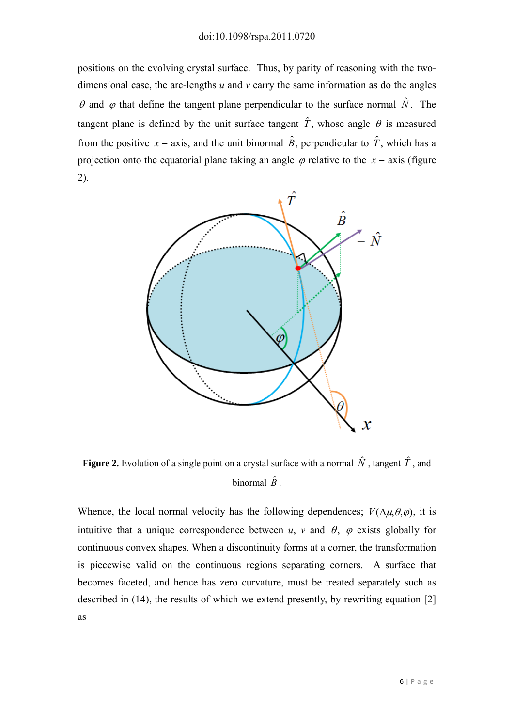positions on the evolving crystal surface. Thus, by parity of reasoning with the twodimensional case, the arc-lengths *u* and *v* carry the same information as do the angles  $\theta$  and  $\varphi$  that define the tangent plane perpendicular to the surface normal  $\hat{N}$ . The tangent plane is defined by the unit surface tangent  $\hat{T}$ , whose angle  $\theta$  is measured from the positive *x* – axis, and the unit binormal  $\hat{B}$ , perpendicular to  $\hat{T}$ , which has a projection onto the equatorial plane taking an angle  $\varphi$  relative to the  $x - axis$  (figure 2).



**Figure 2.** Evolution of a single point on a crystal surface with a normal  $\hat{N}$ , tangent  $\hat{T}$ , and binormal  $\hat{B}$ .

Whence, the local normal velocity has the following dependences;  $V(\Delta \mu, \theta, \varphi)$ , it is intuitive that a unique correspondence between  $u$ ,  $v$  and  $\theta$ ,  $\varphi$  exists globally for continuous convex shapes. When a discontinuity forms at a corner, the transformation is piecewise valid on the continuous regions separating corners. A surface that becomes faceted, and hence has zero curvature, must be treated separately such as described in (14), the results of which we extend presently, by rewriting equation [2] as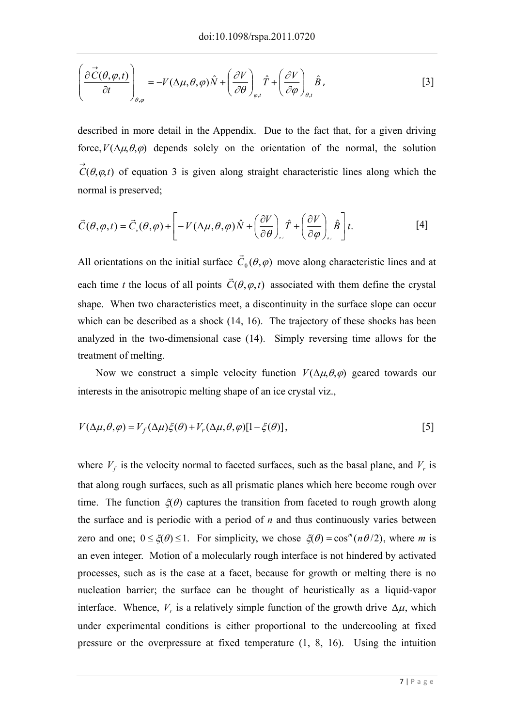$$
\left(\frac{\partial \vec{C}(\theta, \varphi, t)}{\partial t}\right)_{\theta, \varphi} = -V(\Delta \mu, \theta, \varphi)\hat{N} + \left(\frac{\partial V}{\partial \theta}\right)_{\varphi, t} \hat{T} + \left(\frac{\partial V}{\partial \varphi}\right)_{\theta, t} \hat{B},
$$
\n
$$
\tag{3}
$$

described in more detail in the Appendix. Due to the fact that, for a given driving force,  $V(\Delta \mu, \theta, \varphi)$  depends solely on the orientation of the normal, the solution  $\vec{C}(\theta, \varphi, t)$  of equation 3 is given along straight characteristic lines along which the normal is preserved;

$$
\vec{C}(\theta,\varphi,t) = \vec{C}_{\text{d}}(\theta,\varphi) + \left[ -V(\Delta\mu,\theta,\varphi)\hat{N} + \left(\frac{\partial V}{\partial\theta}\right)_{\text{d}}\hat{T} + \left(\frac{\partial V}{\partial\varphi}\right)_{\text{d}}\hat{B}\right]t.
$$
 [4]

All orientations on the initial surface  $\vec{C}_0(\theta, \varphi)$  move along characteristic lines and at each time *t* the locus of all points  $\vec{C}(\theta, \varphi, t)$  associated with them define the crystal shape. When two characteristics meet, a discontinuity in the surface slope can occur which can be described as a shock  $(14, 16)$ . The trajectory of these shocks has been analyzed in the two-dimensional case (14). Simply reversing time allows for the treatment of melting.

Now we construct a simple velocity function  $V(\Delta \mu, \theta, \varphi)$  geared towards our interests in the anisotropic melting shape of an ice crystal viz.,

$$
V(\Delta \mu, \theta, \varphi) = V_f(\Delta \mu)\xi(\theta) + V_r(\Delta \mu, \theta, \varphi)[1 - \xi(\theta)],
$$
\n[5]

where  $V_f$  is the velocity normal to faceted surfaces, such as the basal plane, and  $V_f$  is that along rough surfaces, such as all prismatic planes which here become rough over time. The function  $\zeta(\theta)$  captures the transition from faceted to rough growth along the surface and is periodic with a period of *n* and thus continuously varies between zero and one;  $0 \le \xi(\theta) \le 1$ . For simplicity, we chose  $\xi(\theta) = \cos^{m}(n\theta/2)$ , where *m* is an even integer. Motion of a molecularly rough interface is not hindered by activated processes, such as is the case at a facet, because for growth or melting there is no nucleation barrier; the surface can be thought of heuristically as a liquid-vapor interface. Whence,  $V_r$  is a relatively simple function of the growth drive  $\Delta \mu$ , which under experimental conditions is either proportional to the undercooling at fixed pressure or the overpressure at fixed temperature (1, 8, 16). Using the intuition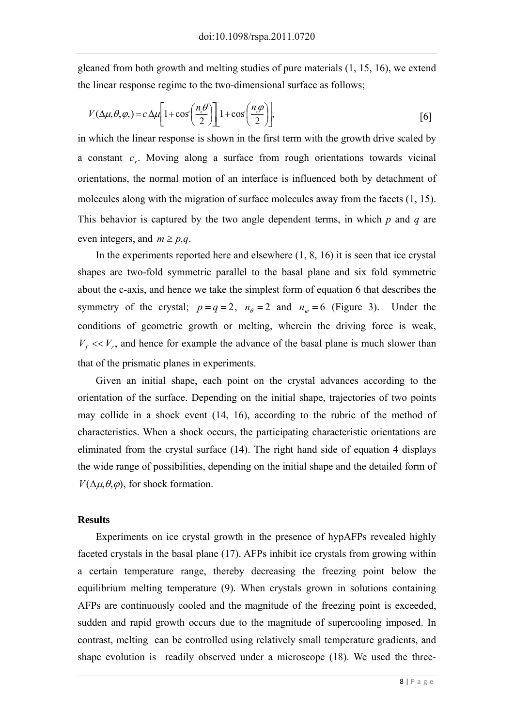gleaned from both growth and melting studies of pure materials (1, 15, 16), we extend the linear response regime to the two-dimensional surface as follows;

$$
V(\Delta \mu, \theta, \varphi) = c \Delta \mu \left[ 1 + \cos \left( \frac{n_e \theta}{2} \right) \right] \left[ 1 + \cos \left( \frac{n_e \varphi}{2} \right) \right],
$$

in which the linear response is shown in the first term with the growth drive scaled by a constant *cr*. Moving along a surface from rough orientations towards vicinal orientations, the normal motion of an interface is influenced both by detachment of molecules along with the migration of surface molecules away from the facets (1, 15). This behavior is captured by the two angle dependent terms, in which *p* and *q* are even integers, and  $m \geq p, q$ .

In the experiments reported here and elsewhere (1, 8, 16) it is seen that ice crystal shapes are two-fold symmetric parallel to the basal plane and six fold symmetric about the c-axis, and hence we take the simplest form of equation 6 that describes the symmetry of the crystal;  $p = q = 2$ ,  $n_a = 2$  and  $n_a = 6$  (Figure 3). Under the conditions of geometric growth or melting, wherein the driving force is weak,  $V_f \ll V_r$ , and hence for example the advance of the basal plane is much slower than that of the prismatic planes in experiments.

Given an initial shape, each point on the crystal advances according to the orientation of the surface. Depending on the initial shape, trajectories of two points may collide in a shock event (14, 16), according to the rubric of the method of characteristics. When a shock occurs, the participating characteristic orientations are eliminated from the crystal surface (14). The right hand side of equation 4 displays the wide range of possibilities, depending on the initial shape and the detailed form of  $V(\Delta \mu, \theta, \varphi)$ , for shock formation.

# **Results**

Experiments on ice crystal growth in the presence of hypAFPs revealed highly faceted crystals in the basal plane (17). AFPs inhibit ice crystals from growing within a certain temperature range, thereby decreasing the freezing point below the equilibrium melting temperature (9). When crystals grown in solutions containing AFPs are continuously cooled and the magnitude of the freezing point is exceeded, sudden and rapid growth occurs due to the magnitude of supercooling imposed. In contrast, melting can be controlled using relatively small temperature gradients, and shape evolution is readily observed under a microscope (18). We used the three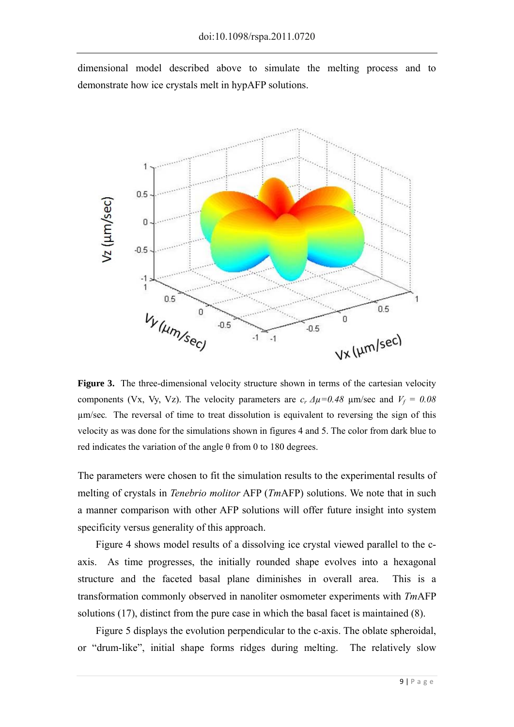dimensional model described above to simulate the melting process and to demonstrate how ice crystals melt in hypAFP solutions.



**Figure 3.** The three-dimensional velocity structure shown in terms of the cartesian velocity components (Vx, Vy, Vz). The velocity parameters are  $c_r A\mu = 0.48$  µm/sec and  $V_f = 0.08$ µm/sec*.* The reversal of time to treat dissolution is equivalent to reversing the sign of this velocity as was done for the simulations shown in figures 4 and 5. The color from dark blue to red indicates the variation of the angle θ from 0 to 180 degrees.

The parameters were chosen to fit the simulation results to the experimental results of melting of crystals in *Tenebrio molitor* AFP (*Tm*AFP) solutions. We note that in such a manner comparison with other AFP solutions will offer future insight into system specificity versus generality of this approach.

Figure 4 shows model results of a dissolving ice crystal viewed parallel to the caxis. As time progresses, the initially rounded shape evolves into a hexagonal structure and the faceted basal plane diminishes in overall area. This is a transformation commonly observed in nanoliter osmometer experiments with *Tm*AFP solutions (17), distinct from the pure case in which the basal facet is maintained (8).

Figure 5 displays the evolution perpendicular to the c-axis. The oblate spheroidal, or "drum-like", initial shape forms ridges during melting. The relatively slow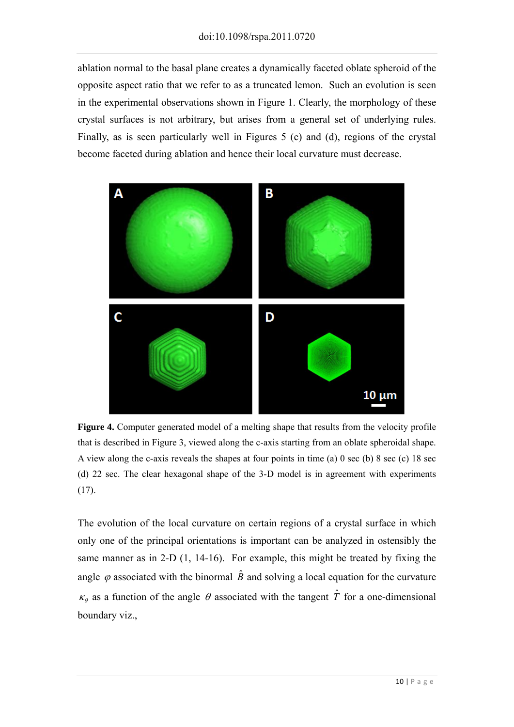ablation normal to the basal plane creates a dynamically faceted oblate spheroid of the opposite aspect ratio that we refer to as a truncated lemon. Such an evolution is seen in the experimental observations shown in Figure 1. Clearly, the morphology of these crystal surfaces is not arbitrary, but arises from a general set of underlying rules. Finally, as is seen particularly well in Figures 5 (c) and (d), regions of the crystal become faceted during ablation and hence their local curvature must decrease.



Figure 4. Computer generated model of a melting shape that results from the velocity profile that is described in Figure 3, viewed along the c-axis starting from an oblate spheroidal shape. A view along the c-axis reveals the shapes at four points in time (a) 0 sec (b) 8 sec (c) 18 sec (d) 22 sec. The clear hexagonal shape of the 3-D model is in agreement with experiments (17).

The evolution of the local curvature on certain regions of a crystal surface in which only one of the principal orientations is important can be analyzed in ostensibly the same manner as in 2-D (1, 14-16). For example, this might be treated by fixing the angle  $\varphi$  associated with the binormal  $\hat{B}$  and solving a local equation for the curvature  $\kappa_{\theta}$  as a function of the angle  $\theta$  associated with the tangent  $\hat{T}$  for a one-dimensional boundary viz.,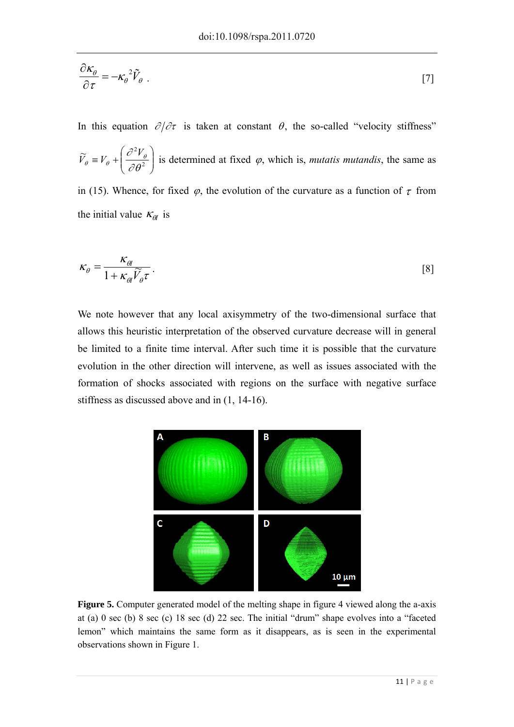$$
\frac{\partial \kappa_{\theta}}{\partial \tau} = -\kappa_{\theta}^2 \tilde{V}_{\theta} \tag{7}
$$

In this equation  $\partial/\partial \tau$  is taken at constant  $\theta$ , the so-called "velocity stiffness"  $\overline{\phantom{a}}$ J  $\setminus$  $\overline{\phantom{a}}$  $\setminus$  $\widetilde{V}_{\theta} \equiv V_{\theta} + \left(\frac{\partial^2 V_{\theta}}{\partial \theta^2}\right)$  $\partial \theta$  $\widetilde{V}_{\theta} = V_{\theta} + \left(\frac{\partial^2 V_{\theta}}{\partial \theta^2}\right)$  is determined at fixed  $\varphi$ , which is, *mutatis mutandis*, the same as in (15). Whence, for fixed  $\varphi$ , the evolution of the curvature as a function of  $\tau$  from the initial value  $K_{\text{eff}}$  is

$$
\kappa_{\theta} = \frac{\kappa_{\theta I}}{1 + \kappa_{\theta I} \widetilde{V}_{\theta} \tau}.
$$

We note however that any local axisymmetry of the two-dimensional surface that allows this heuristic interpretation of the observed curvature decrease will in general be limited to a finite time interval. After such time it is possible that the curvature evolution in the other direction will intervene, as well as issues associated with the formation of shocks associated with regions on the surface with negative surface stiffness as discussed above and in (1, 14-16).



**Figure 5.** Computer generated model of the melting shape in figure 4 viewed along the a-axis at (a) 0 sec (b) 8 sec (c) 18 sec (d) 22 sec. The initial "drum" shape evolves into a "faceted lemon" which maintains the same form as it disappears, as is seen in the experimental observations shown in Figure 1.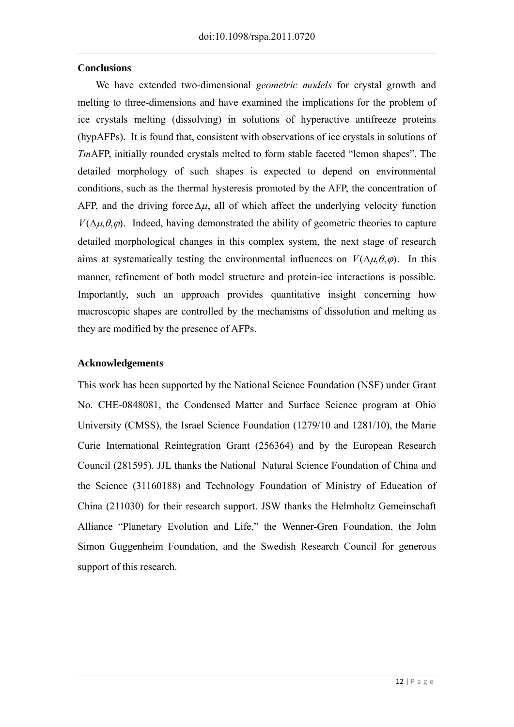# **Conclusions**

We have extended two-dimensional *geometric models* for crystal growth and melting to three-dimensions and have examined the implications for the problem of ice crystals melting (dissolving) in solutions of hyperactive antifreeze proteins (hypAFPs). It is found that, consistent with observations of ice crystals in solutions of *Tm*AFP, initially rounded crystals melted to form stable faceted "lemon shapes". The detailed morphology of such shapes is expected to depend on environmental conditions, such as the thermal hysteresis promoted by the AFP, the concentration of AFP, and the driving force  $\Delta \mu$ , all of which affect the underlying velocity function  $V(\Delta\mu,\theta,\varphi)$ . Indeed, having demonstrated the ability of geometric theories to capture detailed morphological changes in this complex system, the next stage of research aims at systematically testing the environmental influences on  $V(\Delta \mu, \theta, \varphi)$ . In this manner, refinement of both model structure and protein-ice interactions is possible. Importantly, such an approach provides quantitative insight concerning how macroscopic shapes are controlled by the mechanisms of dissolution and melting as they are modified by the presence of AFPs.

# **Acknowledgements**

This work has been supported by the National Science Foundation (NSF) under Grant No. CHE-0848081, the Condensed Matter and Surface Science program at Ohio University (CMSS), the Israel Science Foundation (1279/10 and 1281/10), the Marie Curie International Reintegration Grant (256364) and by the European Research Council (281595). JJL thanks the National Natural Science Foundation of China and the Science (31160188) and Technology Foundation of Ministry of Education of China (211030) for their research support. JSW thanks the Helmholtz Gemeinschaft Alliance "Planetary Evolution and Life," the Wenner-Gren Foundation, the John Simon Guggenheim Foundation, and the Swedish Research Council for generous support of this research.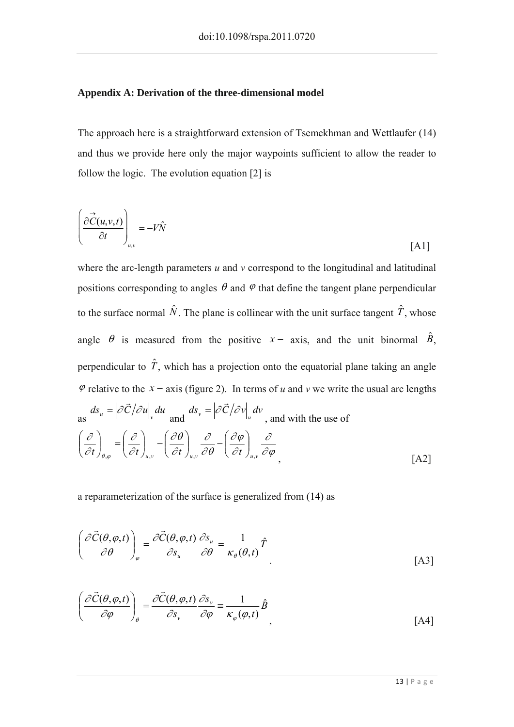### **Appendix A: Derivation of the three-dimensional model**

The approach here is a straightforward extension of Tsemekhman and Wettlaufer (14) and thus we provide here only the major waypoints sufficient to allow the reader to follow the logic. The evolution equation [2] is

$$
\left(\frac{\partial \vec{C}(u, v, t)}{\partial t}\right)_{u, v} = -V\hat{N}
$$
\n[A1]

where the arc-length parameters  $u$  and  $v$  correspond to the longitudinal and latitudinal positions corresponding to angles  $\theta$  and  $\varphi$  that define the tangent plane perpendicular to the surface normal  $\hat{N}$ . The plane is collinear with the unit surface tangent  $\hat{T}$ , whose angle  $\theta$  is measured from the positive  $x - x$  axis, and the unit binormal  $\hat{B}$ , perpendicular to  $\hat{T}$ , which has a projection onto the equatorial plane taking an angle  $\varphi$  relative to the  $x - axis$  (figure 2). In terms of *u* and *v* we write the usual arc lengths

as 
$$
ds_u = |\partial \vec{C}/\partial u|_v du
$$
 and  $ds_v = |\partial \vec{C}/\partial v|_u dv$ , and with the use of  
\n
$$
\left(\frac{\partial}{\partial t}\right)_{\theta,\varphi} = \left(\frac{\partial}{\partial t}\right)_{u,v} - \left(\frac{\partial \theta}{\partial t}\right)_{u,v} \frac{\partial}{\partial \theta} - \left(\frac{\partial \varphi}{\partial t}\right)_{u,v} \frac{\partial}{\partial \varphi}
$$
\n[A2]

a reparameterization of the surface is generalized from (14) as

$$
\left(\frac{\partial \vec{C}(\theta, \varphi, t)}{\partial \theta}\right)_{\varphi} = \frac{\partial \vec{C}(\theta, \varphi, t)}{\partial s_{u}} \frac{\partial s_{u}}{\partial \theta} = \frac{1}{\kappa_{\theta}(\theta, t)} \hat{T}
$$
\n[A3]

$$
\left(\frac{\partial \vec{C}(\theta, \varphi, t)}{\partial \varphi}\right)_{\theta} = \frac{\partial \vec{C}(\theta, \varphi, t)}{\partial s_{\nu}} \frac{\partial s_{\nu}}{\partial \varphi} = \frac{1}{\kappa_{\varphi}(\varphi, t)} \hat{B}
$$
\n[A4]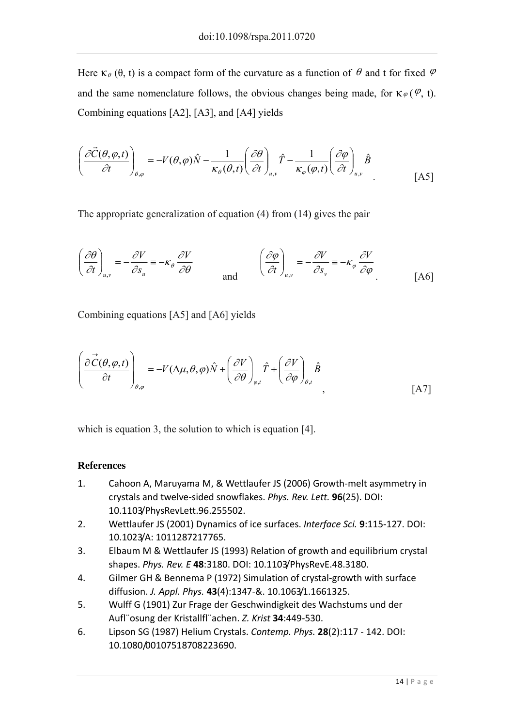Here  $\kappa_{\theta}$  (θ, t) is a compact form of the curvature as a function of  $\theta$  and t for fixed  $\varphi$ and the same nomenclature follows, the obvious changes being made, for  $\kappa_{\varphi}(\varphi, t)$ . Combining equations [A2], [A3], and [A4] yields

$$
\left(\frac{\partial \vec{C}(\theta, \varphi, t)}{\partial t}\right)_{\theta, \varphi} = -V(\theta, \varphi)\hat{N} - \frac{1}{\kappa_{\theta}(\theta, t)} \left(\frac{\partial \theta}{\partial t}\right)_{u, v} \hat{T} - \frac{1}{\kappa_{\varphi}(\varphi, t)} \left(\frac{\partial \varphi}{\partial t}\right)_{u, v} \hat{B}
$$
\n[A5]

The appropriate generalization of equation (4) from (14) gives the pair

$$
\left(\frac{\partial \theta}{\partial t}\right)_{u,v} = -\frac{\partial V}{\partial s_u} = -\kappa_\theta \frac{\partial V}{\partial \theta} \qquad \qquad \left(\frac{\partial \varphi}{\partial t}\right)_{u,v} = -\frac{\partial V}{\partial s_v} = -\kappa_\varphi \frac{\partial V}{\partial \varphi} \qquad \qquad \text{[A6]}
$$

Combining equations [A5] and [A6] yields

$$
\left(\frac{\partial \vec{C}(\theta, \varphi, t)}{\partial t}\right)_{\theta, \varphi} = -V(\Delta \mu, \theta, \varphi)\hat{N} + \left(\frac{\partial V}{\partial \theta}\right)_{\varphi, t} \hat{T} + \left(\frac{\partial V}{\partial \varphi}\right)_{\theta, t} \hat{B}
$$
\n[A7]

which is equation 3, the solution to which is equation [4].

# **References**

- 1. Cahoon A, Maruyama M, & Wettlaufer JS (2006) Growth‐melt asymmetry in crystals and twelve‐sided snowflakes. *Phys. Rev. Lett.* **96**(25). DOI: 10.1103/PhysRevLett.96.255502.
- 2. Wettlaufer JS (2001) Dynamics of ice surfaces. *Interface Sci.* **9**:115‐127. DOI: 10.1023/A: 1011287217765.
- 3. Elbaum M & Wettlaufer JS (1993) Relation of growth and equilibrium crystal shapes. *Phys. Rev. E* **48**:3180. DOI: 10.1103/PhysRevE.48.3180.
- 4. Gilmer GH & Bennema P (1972) Simulation of crystal-growth with surface diffusion. *J. Appl. Phys.* **43**(4):1347‐&. 10.1063/1.1661325.
- 5. Wulff G (1901) Zur Frage der Geschwindigkeit des Wachstums und der Aufl¨osung der Kristallfl¨achen. *Z. Krist* **34**:449‐530.
- 6. Lipson SG (1987) Helium Crystals. *Contemp. Phys.* **28**(2):117 ‐ 142. DOI: 10.1080/00107518708223690.